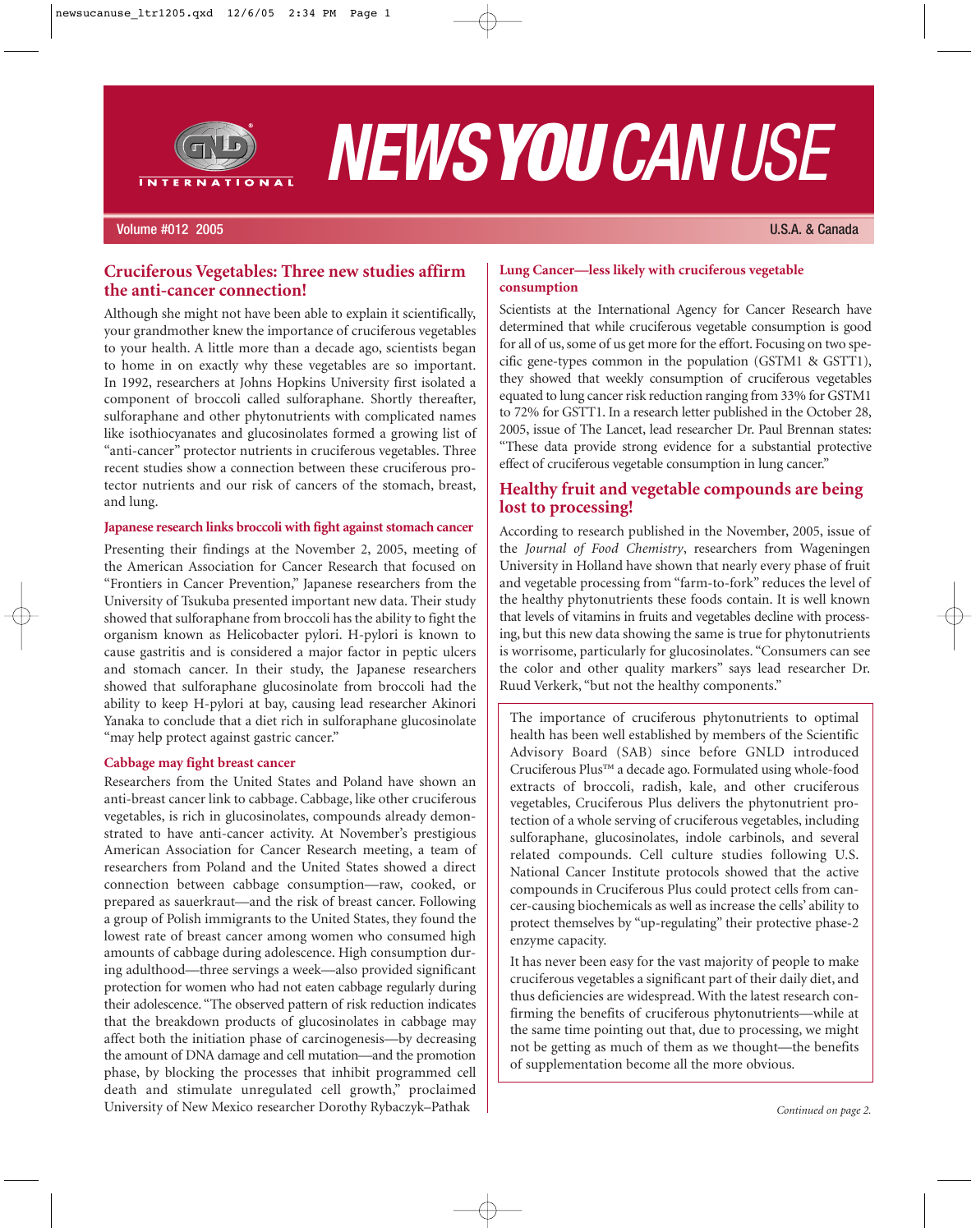

# *NEWSYOUCANUSE*

#### Volume #012 2005 U.S.A. & Canada

# **Cruciferous Vegetables: Three new studies affirm the anti-cancer connection!**

Although she might not have been able to explain it scientifically, your grandmother knew the importance of cruciferous vegetables to your health. A little more than a decade ago, scientists began to home in on exactly why these vegetables are so important. In 1992, researchers at Johns Hopkins University first isolated a component of broccoli called sulforaphane. Shortly thereafter, sulforaphane and other phytonutrients with complicated names like isothiocyanates and glucosinolates formed a growing list of "anti-cancer" protector nutrients in cruciferous vegetables. Three recent studies show a connection between these cruciferous protector nutrients and our risk of cancers of the stomach, breast, and lung.

#### **Japanese research links broccoli with fight against stomach cancer**

Presenting their findings at the November 2, 2005, meeting of the American Association for Cancer Research that focused on "Frontiers in Cancer Prevention," Japanese researchers from the University of Tsukuba presented important new data. Their study showed that sulforaphane from broccoli has the ability to fight the organism known as Helicobacter pylori. H-pylori is known to cause gastritis and is considered a major factor in peptic ulcers and stomach cancer. In their study, the Japanese researchers showed that sulforaphane glucosinolate from broccoli had the ability to keep H-pylori at bay, causing lead researcher Akinori Yanaka to conclude that a diet rich in sulforaphane glucosinolate "may help protect against gastric cancer."

#### **Cabbage may fight breast cancer**

Researchers from the United States and Poland have shown an anti-breast cancer link to cabbage. Cabbage, like other cruciferous vegetables, is rich in glucosinolates, compounds already demonstrated to have anti-cancer activity. At November's prestigious American Association for Cancer Research meeting, a team of researchers from Poland and the United States showed a direct connection between cabbage consumption—raw, cooked, or prepared as sauerkraut—and the risk of breast cancer. Following a group of Polish immigrants to the United States, they found the lowest rate of breast cancer among women who consumed high amounts of cabbage during adolescence. High consumption during adulthood—three servings a week—also provided significant protection for women who had not eaten cabbage regularly during their adolescence. "The observed pattern of risk reduction indicates that the breakdown products of glucosinolates in cabbage may affect both the initiation phase of carcinogenesis—by decreasing the amount of DNA damage and cell mutation—and the promotion phase, by blocking the processes that inhibit programmed cell death and stimulate unregulated cell growth," proclaimed University of New Mexico researcher Dorothy Rybaczyk–Pathak

#### **Lung Cancer—less likely with cruciferous vegetable consumption**

Scientists at the International Agency for Cancer Research have determined that while cruciferous vegetable consumption is good for all of us, some of us get more for the effort. Focusing on two specific gene-types common in the population (GSTM1 & GSTT1), they showed that weekly consumption of cruciferous vegetables equated to lung cancer risk reduction ranging from 33% for GSTM1 to 72% for GSTT1. In a research letter published in the October 28, 2005, issue of The Lancet, lead researcher Dr. Paul Brennan states: "These data provide strong evidence for a substantial protective effect of cruciferous vegetable consumption in lung cancer."

# **Healthy fruit and vegetable compounds are being lost to processing!**

According to research published in the November, 2005, issue of the *Journal of Food Chemistry*, researchers from Wageningen University in Holland have shown that nearly every phase of fruit and vegetable processing from "farm-to-fork" reduces the level of the healthy phytonutrients these foods contain. It is well known that levels of vitamins in fruits and vegetables decline with processing, but this new data showing the same is true for phytonutrients is worrisome, particularly for glucosinolates. "Consumers can see the color and other quality markers" says lead researcher Dr. Ruud Verkerk, "but not the healthy components."

The importance of cruciferous phytonutrients to optimal health has been well established by members of the Scientific Advisory Board (SAB) since before GNLD introduced Cruciferous Plus™ a decade ago. Formulated using whole-food extracts of broccoli, radish, kale, and other cruciferous vegetables, Cruciferous Plus delivers the phytonutrient protection of a whole serving of cruciferous vegetables, including sulforaphane, glucosinolates, indole carbinols, and several related compounds. Cell culture studies following U.S. National Cancer Institute protocols showed that the active compounds in Cruciferous Plus could protect cells from cancer-causing biochemicals as well as increase the cells' ability to protect themselves by "up-regulating" their protective phase-2 enzyme capacity.

It has never been easy for the vast majority of people to make cruciferous vegetables a significant part of their daily diet, and thus deficiencies are widespread. With the latest research confirming the benefits of cruciferous phytonutrients—while at the same time pointing out that, due to processing, we might not be getting as much of them as we thought—the benefits of supplementation become all the more obvious.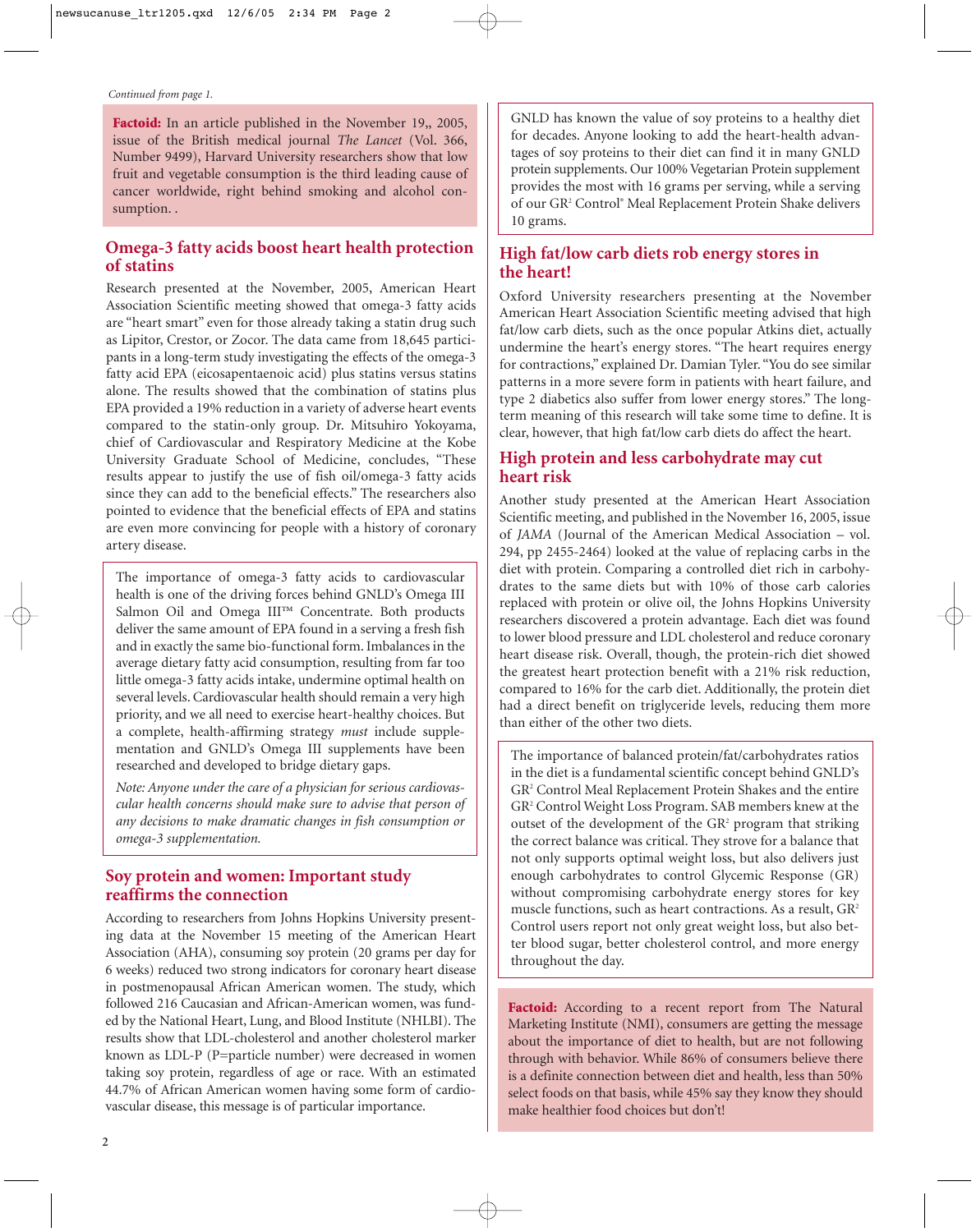Factoid: In an article published in the November 19,, 2005, issue of the British medical journal *The Lancet* (Vol. 366, Number 9499), Harvard University researchers show that low fruit and vegetable consumption is the third leading cause of cancer worldwide, right behind smoking and alcohol consumption. .

# **Omega-3 fatty acids boost heart health protection of statins**

Research presented at the November, 2005, American Heart Association Scientific meeting showed that omega-3 fatty acids are "heart smart" even for those already taking a statin drug such as Lipitor, Crestor, or Zocor. The data came from 18,645 participants in a long-term study investigating the effects of the omega-3 fatty acid EPA (eicosapentaenoic acid) plus statins versus statins alone. The results showed that the combination of statins plus EPA provided a 19% reduction in a variety of adverse heart events compared to the statin-only group. Dr. Mitsuhiro Yokoyama, chief of Cardiovascular and Respiratory Medicine at the Kobe University Graduate School of Medicine, concludes, "These results appear to justify the use of fish oil/omega-3 fatty acids since they can add to the beneficial effects." The researchers also pointed to evidence that the beneficial effects of EPA and statins are even more convincing for people with a history of coronary artery disease.

The importance of omega-3 fatty acids to cardiovascular health is one of the driving forces behind GNLD's Omega III Salmon Oil and Omega III™ Concentrate. Both products deliver the same amount of EPA found in a serving a fresh fish and in exactly the same bio-functional form. Imbalances in the average dietary fatty acid consumption, resulting from far too little omega-3 fatty acids intake, undermine optimal health on several levels. Cardiovascular health should remain a very high priority, and we all need to exercise heart-healthy choices. But a complete, health-affirming strategy *must* include supplementation and GNLD's Omega III supplements have been researched and developed to bridge dietary gaps.

*Note: Anyone under the care of a physician for serious cardiovascular health concerns should make sure to advise that person of any decisions to make dramatic changes in fish consumption or omega-3 supplementation.*

# **Soy protein and women: Important study reaffirms the connection**

According to researchers from Johns Hopkins University presenting data at the November 15 meeting of the American Heart Association (AHA), consuming soy protein (20 grams per day for 6 weeks) reduced two strong indicators for coronary heart disease in postmenopausal African American women. The study, which followed 216 Caucasian and African-American women, was funded by the National Heart, Lung, and Blood Institute (NHLBI). The results show that LDL-cholesterol and another cholesterol marker known as LDL-P (P=particle number) were decreased in women taking soy protein, regardless of age or race. With an estimated 44.7% of African American women having some form of cardiovascular disease, this message is of particular importance.

GNLD has known the value of soy proteins to a healthy diet for decades. Anyone looking to add the heart-health advantages of soy proteins to their diet can find it in many GNLD protein supplements. Our 100% Vegetarian Protein supplement provides the most with 16 grams per serving, while a serving of our GR2 Control® Meal Replacement Protein Shake delivers 10 grams.

# **High fat/low carb diets rob energy stores in the heart!**

Oxford University researchers presenting at the November American Heart Association Scientific meeting advised that high fat/low carb diets, such as the once popular Atkins diet, actually undermine the heart's energy stores. "The heart requires energy for contractions," explained Dr. Damian Tyler. "You do see similar patterns in a more severe form in patients with heart failure, and type 2 diabetics also suffer from lower energy stores." The longterm meaning of this research will take some time to define. It is clear, however, that high fat/low carb diets do affect the heart.

# **High protein and less carbohydrate may cut heart risk**

Another study presented at the American Heart Association Scientific meeting, and published in the November 16, 2005, issue of *JAMA* (Journal of the American Medical Association – vol. 294, pp 2455-2464) looked at the value of replacing carbs in the diet with protein. Comparing a controlled diet rich in carbohydrates to the same diets but with 10% of those carb calories replaced with protein or olive oil, the Johns Hopkins University researchers discovered a protein advantage. Each diet was found to lower blood pressure and LDL cholesterol and reduce coronary heart disease risk. Overall, though, the protein-rich diet showed the greatest heart protection benefit with a 21% risk reduction, compared to 16% for the carb diet. Additionally, the protein diet had a direct benefit on triglyceride levels, reducing them more than either of the other two diets.

The importance of balanced protein/fat/carbohydrates ratios in the diet is a fundamental scientific concept behind GNLD's GR2 Control Meal Replacement Protein Shakes and the entire GR2 Control Weight Loss Program. SAB members knew at the outset of the development of the GR<sup>2</sup> program that striking the correct balance was critical. They strove for a balance that not only supports optimal weight loss, but also delivers just enough carbohydrates to control Glycemic Response (GR) without compromising carbohydrate energy stores for key muscle functions, such as heart contractions. As a result, GR<sup>2</sup> Control users report not only great weight loss, but also better blood sugar, better cholesterol control, and more energy throughout the day.

Factoid: According to a recent report from The Natural Marketing Institute (NMI), consumers are getting the message about the importance of diet to health, but are not following through with behavior. While 86% of consumers believe there is a definite connection between diet and health, less than 50% select foods on that basis, while 45% say they know they should make healthier food choices but don't!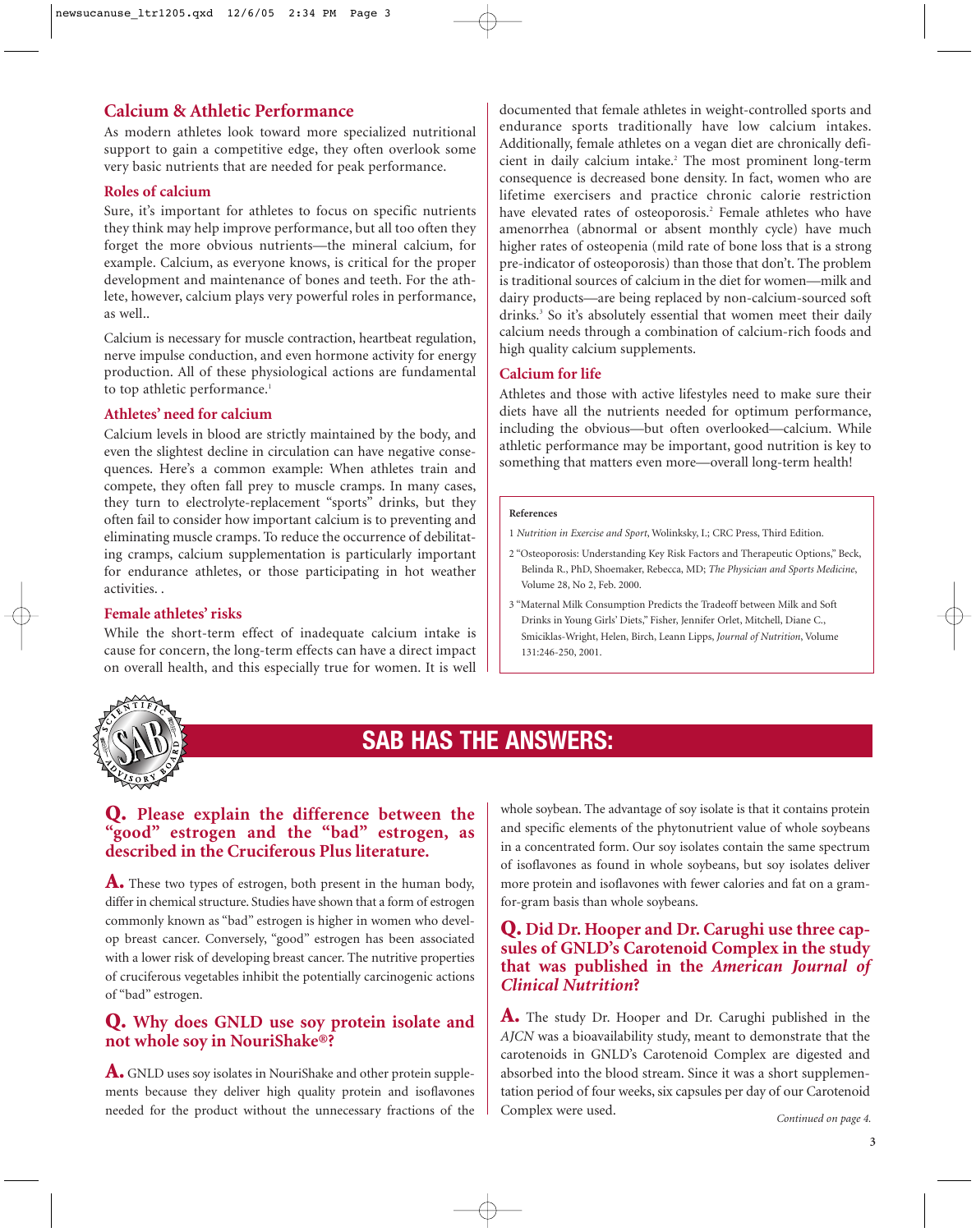# **Calcium & Athletic Performance**

As modern athletes look toward more specialized nutritional support to gain a competitive edge, they often overlook some very basic nutrients that are needed for peak performance.

#### **Roles of calcium**

Sure, it's important for athletes to focus on specific nutrients they think may help improve performance, but all too often they forget the more obvious nutrients—the mineral calcium, for example. Calcium, as everyone knows, is critical for the proper development and maintenance of bones and teeth. For the athlete, however, calcium plays very powerful roles in performance, as well..

Calcium is necessary for muscle contraction, heartbeat regulation, nerve impulse conduction, and even hormone activity for energy production. All of these physiological actions are fundamental to top athletic performance.<sup>1</sup>

#### **Athletes' need for calcium**

Calcium levels in blood are strictly maintained by the body, and even the slightest decline in circulation can have negative consequences. Here's a common example: When athletes train and compete, they often fall prey to muscle cramps. In many cases, they turn to electrolyte-replacement "sports" drinks, but they often fail to consider how important calcium is to preventing and eliminating muscle cramps. To reduce the occurrence of debilitating cramps, calcium supplementation is particularly important for endurance athletes, or those participating in hot weather activities. .

#### **Female athletes' risks**

While the short-term effect of inadequate calcium intake is cause for concern, the long-term effects can have a direct impact on overall health, and this especially true for women. It is well

documented that female athletes in weight-controlled sports and endurance sports traditionally have low calcium intakes. Additionally, female athletes on a vegan diet are chronically deficient in daily calcium intake.<sup>2</sup> The most prominent long-term consequence is decreased bone density. In fact, women who are lifetime exercisers and practice chronic calorie restriction have elevated rates of osteoporosis.<sup>2</sup> Female athletes who have amenorrhea (abnormal or absent monthly cycle) have much higher rates of osteopenia (mild rate of bone loss that is a strong pre-indicator of osteoporosis) than those that don't. The problem is traditional sources of calcium in the diet for women—milk and dairy products—are being replaced by non-calcium-sourced soft drinks.<sup>3</sup> So it's absolutely essential that women meet their daily calcium needs through a combination of calcium-rich foods and high quality calcium supplements.

#### **Calcium for life**

Athletes and those with active lifestyles need to make sure their diets have all the nutrients needed for optimum performance, including the obvious—but often overlooked—calcium. While athletic performance may be important, good nutrition is key to something that matters even more—overall long-term health!

#### **References**

- 1 *Nutrition in Exercise and Sport*, Wolinksky, I.; CRC Press, Third Edition.
- 2 "Osteoporosis: Understanding Key Risk Factors and Therapeutic Options," Beck, Belinda R., PhD, Shoemaker, Rebecca, MD; *The Physician and Sports Medicine*, Volume 28, No 2, Feb. 2000.
- 3 "Maternal Milk Consumption Predicts the Tradeoff between Milk and Soft Drinks in Young Girls' Diets," Fisher, Jennifer Orlet, Mitchell, Diane C., Smiciklas-Wright, Helen, Birch, Leann Lipps, *Journal of Nutrition*, Volume 131:246-250, 2001.



# **SAB HAS THE ANSWERS:**

# **Q. Please explain the difference between the "good" estrogen and the "bad" estrogen, as described in the Cruciferous Plus literature.**

**A.** These two types of estrogen, both present in the human body, differ in chemical structure. Studies have shown that a form of estrogen commonly known as "bad" estrogen is higher in women who develop breast cancer. Conversely, "good" estrogen has been associated with a lower risk of developing breast cancer. The nutritive properties of cruciferous vegetables inhibit the potentially carcinogenic actions of "bad" estrogen.

# **Q. Why does GNLD use soy protein isolate and not whole soy in NouriShake®?**

**A.** GNLD uses soy isolates in NouriShake and other protein supplements because they deliver high quality protein and isoflavones whole soybean. The advantage of soy isolate is that it contains protein and specific elements of the phytonutrient value of whole soybeans in a concentrated form. Our soy isolates contain the same spectrum of isoflavones as found in whole soybeans, but soy isolates deliver more protein and isoflavones with fewer calories and fat on a gramfor-gram basis than whole soybeans.

# **Q. Did Dr. Hooper and Dr. Carughi use three capsules of GNLD's Carotenoid Complex in the study that was published in the** *American Journal of Clinical Nutrition***?**

**A.** The study Dr. Hooper and Dr. Carughi published in the *AJCN* was a bioavailability study, meant to demonstrate that the carotenoids in GNLD's Carotenoid Complex are digested and absorbed into the blood stream. Since it was a short supplementation period of four weeks, six capsules per day of our Carotenoid Complex were used. needed for the product without the unnecessary fractions of the *Complex were used.* Continued on page 4.